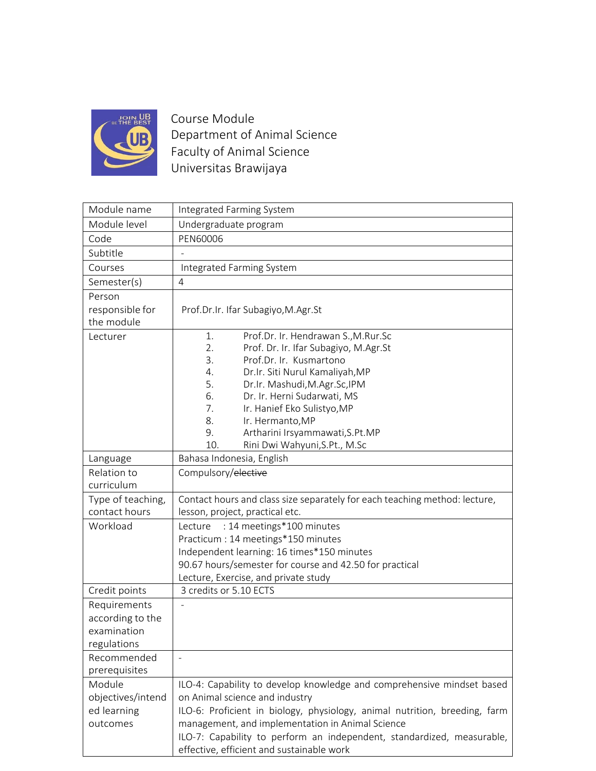

Course Module Department of Animal Science Faculty of Animal Science Universitas Brawijaya

| Module name       | Integrated Farming System                                                  |
|-------------------|----------------------------------------------------------------------------|
| Module level      | Undergraduate program                                                      |
| Code              | PEN60006                                                                   |
| Subtitle          |                                                                            |
| Courses           | Integrated Farming System                                                  |
| Semester(s)       | $\overline{4}$                                                             |
| Person            |                                                                            |
| responsible for   | Prof.Dr.Ir. Ifar Subagiyo, M.Agr.St                                        |
| the module        |                                                                            |
| Lecturer          | Prof.Dr. Ir. Hendrawan S., M.Rur.Sc<br>1.                                  |
|                   | 2.<br>Prof. Dr. Ir. Ifar Subagiyo, M.Agr.St                                |
|                   | 3.<br>Prof.Dr. Ir. Kusmartono<br>Dr.Ir. Siti Nurul Kamaliyah, MP<br>4.     |
|                   | 5.<br>Dr.Ir. Mashudi, M.Agr.Sc, IPM                                        |
|                   | 6.<br>Dr. Ir. Herni Sudarwati, MS                                          |
|                   | Ir. Hanief Eko Sulistyo, MP<br>7.                                          |
|                   | Ir. Hermanto, MP<br>8.                                                     |
|                   | Artharini Irsyammawati, S.Pt.MP<br>9.                                      |
|                   | Rini Dwi Wahyuni, S.Pt., M.Sc<br>10.                                       |
| Language          | Bahasa Indonesia, English                                                  |
| Relation to       | Compulsory/elective                                                        |
| curriculum        |                                                                            |
| Type of teaching, | Contact hours and class size separately for each teaching method: lecture, |
| contact hours     | lesson, project, practical etc.                                            |
| Workload          | : 14 meetings*100 minutes<br>Lecture                                       |
|                   | Practicum : 14 meetings*150 minutes                                        |
|                   | Independent learning: 16 times*150 minutes                                 |
|                   | 90.67 hours/semester for course and 42.50 for practical                    |
|                   | Lecture, Exercise, and private study                                       |
| Credit points     | 3 credits or 5.10 ECTS                                                     |
| Requirements      |                                                                            |
| according to the  |                                                                            |
| examination       |                                                                            |
| regulations       |                                                                            |
| Recommended       |                                                                            |
| prerequisites     |                                                                            |
| Module            | ILO-4: Capability to develop knowledge and comprehensive mindset based     |
| objectives/intend | on Animal science and industry                                             |
| ed learning       | ILO-6: Proficient in biology, physiology, animal nutrition, breeding, farm |
| outcomes          | management, and implementation in Animal Science                           |
|                   | ILO-7: Capability to perform an independent, standardized, measurable,     |
|                   | effective, efficient and sustainable work                                  |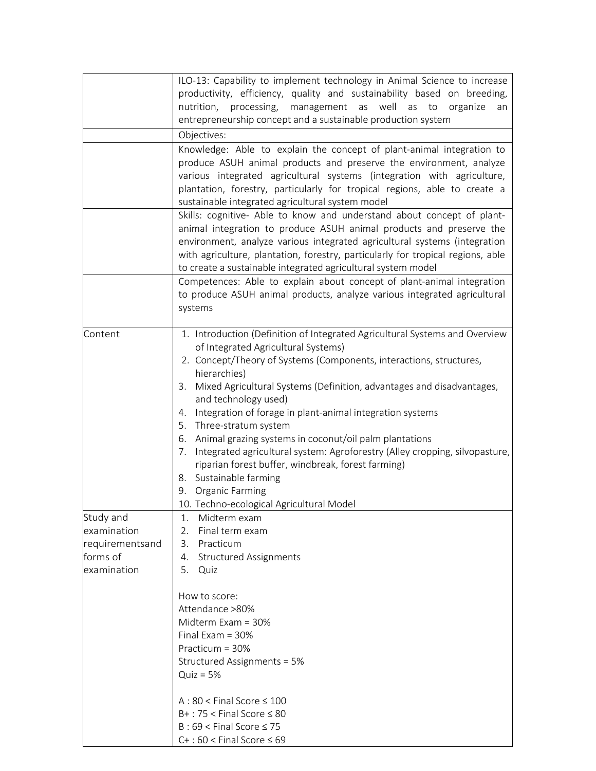|                                            | ILO-13: Capability to implement technology in Animal Science to increase<br>productivity, efficiency, quality and sustainability based on breeding,<br>nutrition, processing,<br>management as well as<br>to<br>organize<br>an<br>entrepreneurship concept and a sustainable production system<br>Objectives:<br>Knowledge: Able to explain the concept of plant-animal integration to<br>produce ASUH animal products and preserve the environment, analyze<br>various integrated agricultural systems (integration with agriculture,<br>plantation, forestry, particularly for tropical regions, able to create a<br>sustainable integrated agricultural system model<br>Skills: cognitive- Able to know and understand about concept of plant-<br>animal integration to produce ASUH animal products and preserve the<br>environment, analyze various integrated agricultural systems (integration<br>with agriculture, plantation, forestry, particularly for tropical regions, able<br>to create a sustainable integrated agricultural system model<br>Competences: Able to explain about concept of plant-animal integration<br>to produce ASUH animal products, analyze various integrated agricultural |
|--------------------------------------------|----------------------------------------------------------------------------------------------------------------------------------------------------------------------------------------------------------------------------------------------------------------------------------------------------------------------------------------------------------------------------------------------------------------------------------------------------------------------------------------------------------------------------------------------------------------------------------------------------------------------------------------------------------------------------------------------------------------------------------------------------------------------------------------------------------------------------------------------------------------------------------------------------------------------------------------------------------------------------------------------------------------------------------------------------------------------------------------------------------------------------------------------------------------------------------------------------------------|
|                                            | systems                                                                                                                                                                                                                                                                                                                                                                                                                                                                                                                                                                                                                                                                                                                                                                                                                                                                                                                                                                                                                                                                                                                                                                                                        |
| Content<br>Study and                       | 1. Introduction (Definition of Integrated Agricultural Systems and Overview<br>of Integrated Agricultural Systems)<br>2. Concept/Theory of Systems (Components, interactions, structures,<br>hierarchies)<br>3. Mixed Agricultural Systems (Definition, advantages and disadvantages,<br>and technology used)<br>4. Integration of forage in plant-animal integration systems<br>5. Three-stratum system<br>6. Animal grazing systems in coconut/oil palm plantations<br>Integrated agricultural system: Agroforestry (Alley cropping, silvopasture,<br>7.<br>riparian forest buffer, windbreak, forest farming)<br>8. Sustainable farming<br>9. Organic Farming<br>10. Techno-ecological Agricultural Model<br>Midterm exam<br>1.                                                                                                                                                                                                                                                                                                                                                                                                                                                                             |
| examination                                | Final term exam<br>2.                                                                                                                                                                                                                                                                                                                                                                                                                                                                                                                                                                                                                                                                                                                                                                                                                                                                                                                                                                                                                                                                                                                                                                                          |
| requirementsand<br>forms of<br>examination | Practicum<br>3.<br><b>Structured Assignments</b><br>4.<br>5.<br>Quiz                                                                                                                                                                                                                                                                                                                                                                                                                                                                                                                                                                                                                                                                                                                                                                                                                                                                                                                                                                                                                                                                                                                                           |
|                                            | How to score:<br>Attendance >80%<br>Midterm Exam = 30%<br>Final Exam $=$ 30%<br>Practicum = 30%<br>Structured Assignments = 5%<br>$Quiz = 5%$<br>$A:80 <$ Final Score $\leq 100$<br>$B+$ : 75 < Final Score $\leq 80$<br>$B:69 <$ Final Score $\leq 75$<br>$C+$ : 60 < Final Score $\leq 69$                                                                                                                                                                                                                                                                                                                                                                                                                                                                                                                                                                                                                                                                                                                                                                                                                                                                                                                   |